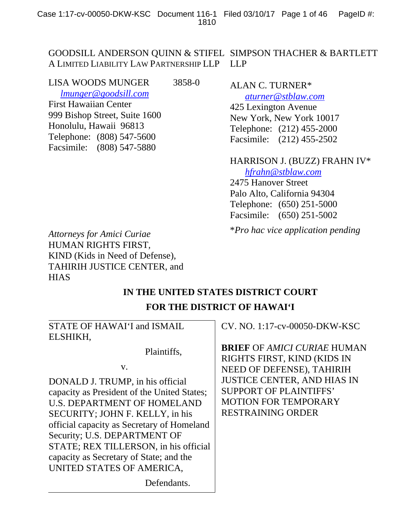#### GOODSILL ANDERSON QUINN & STIFEL SIMPSON THACHER & BARTLETT A LIMITED LIABILITY LAW PARTNERSHIP LLP LLP

| LISA WOODS MUNGER             | 3858-0 |
|-------------------------------|--------|
| lmunger@goodsill.com          |        |
| <b>First Hawaiian Center</b>  |        |
| 999 Bishop Street, Suite 1600 |        |
| Honolulu, Hawaii 96813        |        |
| Telephone: (808) 547-5600     |        |
| Facsimile: (808) 547-5880     |        |
|                               |        |

## ALAN C. TURNER\*

*aturner@stblaw.com* 425 Lexington Avenue New York, New York 10017 Telephone: (212) 455-2000 Facsimile: (212) 455-2502

## HARRISON J. (BUZZ) FRAHN IV\*

 *hfrahn@stblaw.com*  2475 Hanover Street Palo Alto, California 94304 Telephone: (650) 251-5000 Facsimile: (650) 251-5002

\**Pro hac vice application pending*

*Attorneys for Amici Curiae*  HUMAN RIGHTS FIRST*,*  KIND (Kids in Need of Defense), TAHIRIH JUSTICE CENTER, and **HIAS** 

# **IN THE UNITED STATES DISTRICT COURT FOR THE DISTRICT OF HAWAI'I**

STATE OF HAWAI'I and ISMAIL ELSHIKH,

Plaintiffs,

v.

DONALD J. TRUMP, in his official capacity as President of the United States; U.S. DEPARTMENT OF HOMELAND SECURITY; JOHN F. KELLY, in his official capacity as Secretary of Homeland Security; U.S. DEPARTMENT OF STATE; REX TILLERSON, in his official capacity as Secretary of State; and the UNITED STATES OF AMERICA,

CV. NO. 1:17-cv-00050-DKW-KSC

**BRIEF** OF *AMICI CURIAE* HUMAN RIGHTS FIRST, KIND (KIDS IN NEED OF DEFENSE), TAHIRIH JUSTICE CENTER, AND HIAS IN SUPPORT OF PLAINTIFFS' MOTION FOR TEMPORARY RESTRAINING ORDER

Defendants.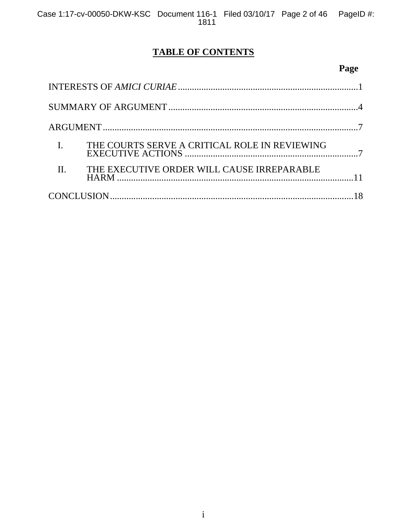## **TABLE OF CONTENTS**

# **Page**

|         | THE COURTS SERVE A CRITICAL ROLE IN REVIEWING |  |
|---------|-----------------------------------------------|--|
| $\Pi$ . | THE EXECUTIVE ORDER WILL CAUSE IRREPARABLE    |  |
|         |                                               |  |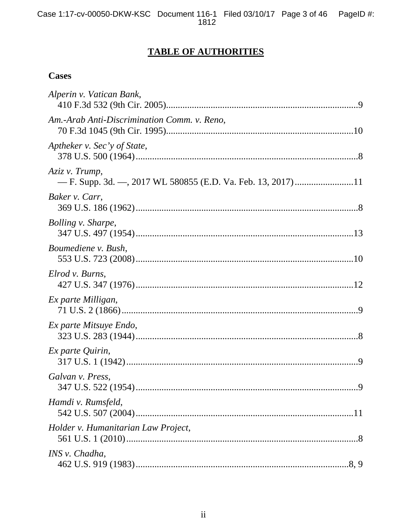## **TABLE OF AUTHORITIES**

## **Cases**

| Alperin v. Vatican Bank,                    |
|---------------------------------------------|
| Am.-Arab Anti-Discrimination Comm. v. Reno, |
| Aptheker v. Sec'y of State,                 |
| Aziz v. Trump,                              |
| Baker v. Carr,                              |
| Bolling v. Sharpe,                          |
| Boumediene v. Bush,                         |
| Elrod v. Burns,                             |
| Ex parte Milligan,                          |
| Ex parte Mitsuye Endo,                      |
| Ex parte Quirin,                            |
| Galvan v. Press,                            |
| Hamdi v. Rumsfeld,                          |
| Holder v. Humanitarian Law Project,         |
| INS v. Chadha,                              |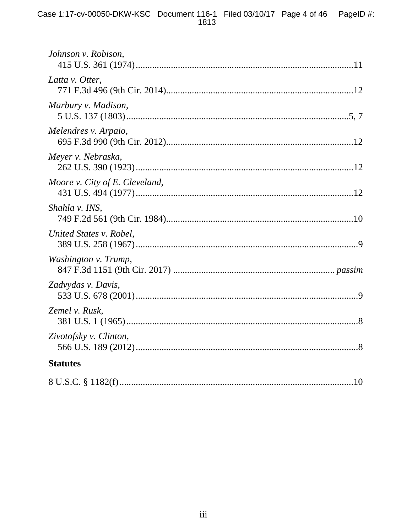| Johnson v. Robison,            |
|--------------------------------|
| Latta v. Otter,                |
| Marbury v. Madison,            |
| Melendres v. Arpaio,           |
| Meyer v. Nebraska,             |
| Moore v. City of E. Cleveland, |
| Shahla v. INS,                 |
| United States v. Robel,        |
| Washington v. Trump,           |
| Zadvydas v. Davis,             |
| Zemel v. Rusk,                 |
| Zivotofsky v. Clinton,         |
| <b>Statutes</b>                |
|                                |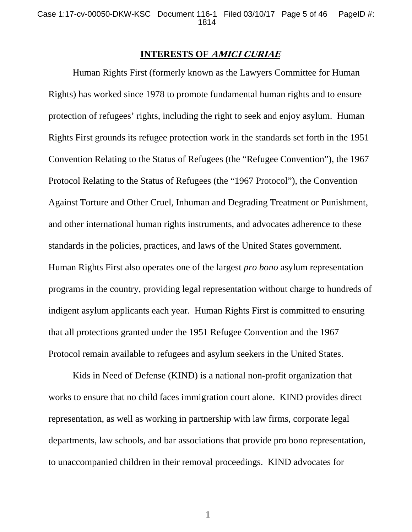#### **INTERESTS OF AMICI CURIAE**

Human Rights First (formerly known as the Lawyers Committee for Human Rights) has worked since 1978 to promote fundamental human rights and to ensure protection of refugees' rights, including the right to seek and enjoy asylum. Human Rights First grounds its refugee protection work in the standards set forth in the 1951 Convention Relating to the Status of Refugees (the "Refugee Convention"), the 1967 Protocol Relating to the Status of Refugees (the "1967 Protocol"), the Convention Against Torture and Other Cruel, Inhuman and Degrading Treatment or Punishment, and other international human rights instruments, and advocates adherence to these standards in the policies, practices, and laws of the United States government. Human Rights First also operates one of the largest *pro bono* asylum representation programs in the country, providing legal representation without charge to hundreds of indigent asylum applicants each year. Human Rights First is committed to ensuring that all protections granted under the 1951 Refugee Convention and the 1967 Protocol remain available to refugees and asylum seekers in the United States.

Kids in Need of Defense (KIND) is a national non-profit organization that works to ensure that no child faces immigration court alone. KIND provides direct representation, as well as working in partnership with law firms, corporate legal departments, law schools, and bar associations that provide pro bono representation, to unaccompanied children in their removal proceedings. KIND advocates for

1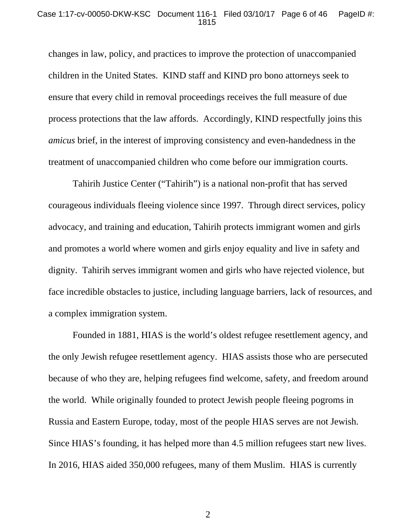#### Case 1:17-cv-00050-DKW-KSC Document 116-1 Filed 03/10/17 Page 6 of 46 PageID #: 1815

changes in law, policy, and practices to improve the protection of unaccompanied children in the United States. KIND staff and KIND pro bono attorneys seek to ensure that every child in removal proceedings receives the full measure of due process protections that the law affords. Accordingly, KIND respectfully joins this *amicus* brief, in the interest of improving consistency and even-handedness in the treatment of unaccompanied children who come before our immigration courts.

Tahirih Justice Center ("Tahirih") is a national non-profit that has served courageous individuals fleeing violence since 1997. Through direct services, policy advocacy, and training and education, Tahirih protects immigrant women and girls and promotes a world where women and girls enjoy equality and live in safety and dignity. Tahirih serves immigrant women and girls who have rejected violence, but face incredible obstacles to justice, including language barriers, lack of resources, and a complex immigration system.

Founded in 1881, HIAS is the world's oldest refugee resettlement agency, and the only Jewish refugee resettlement agency. HIAS assists those who are persecuted because of who they are, helping refugees find welcome, safety, and freedom around the world. While originally founded to protect Jewish people fleeing pogroms in Russia and Eastern Europe, today, most of the people HIAS serves are not Jewish. Since HIAS's founding, it has helped more than 4.5 million refugees start new lives. In 2016, HIAS aided 350,000 refugees, many of them Muslim. HIAS is currently

2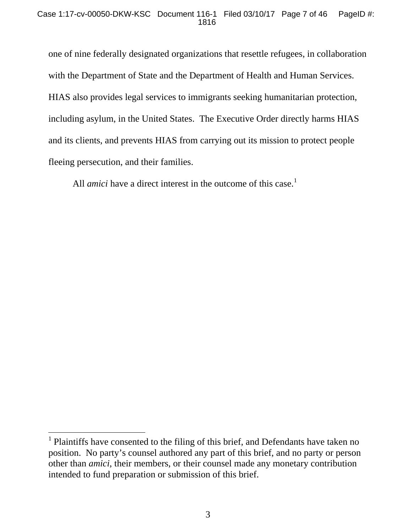one of nine federally designated organizations that resettle refugees, in collaboration with the Department of State and the Department of Health and Human Services. HIAS also provides legal services to immigrants seeking humanitarian protection, including asylum, in the United States. The Executive Order directly harms HIAS and its clients, and prevents HIAS from carrying out its mission to protect people fleeing persecution, and their families.

All *amici* have a direct interest in the outcome of this case.<sup>1</sup>

<sup>&</sup>lt;sup>1</sup> Plaintiffs have consented to the filing of this brief, and Defendants have taken no position. No party's counsel authored any part of this brief, and no party or person other than *amici*, their members, or their counsel made any monetary contribution intended to fund preparation or submission of this brief.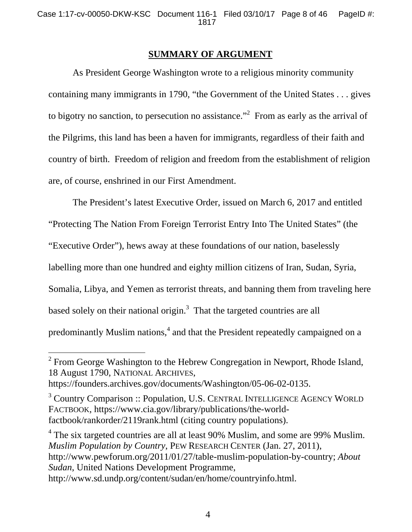### **SUMMARY OF ARGUMENT**

As President George Washington wrote to a religious minority community containing many immigrants in 1790, "the Government of the United States . . . gives to bigotry no sanction, to persecution no assistance."<sup>2</sup> From as early as the arrival of the Pilgrims, this land has been a haven for immigrants, regardless of their faith and country of birth. Freedom of religion and freedom from the establishment of religion are, of course, enshrined in our First Amendment.

The President's latest Executive Order, issued on March 6, 2017 and entitled "Protecting The Nation From Foreign Terrorist Entry Into The United States" (the "Executive Order"), hews away at these foundations of our nation, baselessly labelling more than one hundred and eighty million citizens of Iran, Sudan, Syria, Somalia, Libya, and Yemen as terrorist threats, and banning them from traveling here based solely on their national origin.<sup>3</sup> That the targeted countries are all predominantly Muslim nations,<sup>4</sup> and that the President repeatedly campaigned on a

<sup>4</sup> The six targeted countries are all at least 90% Muslim, and some are 99% Muslim. *Muslim Population by Country*, PEW RESEARCH CENTER (Jan. 27, 2011), http://www.pewforum.org/2011/01/27/table-muslim-population-by-country; *About Sudan*, United Nations Development Programme, http://www.sd.undp.org/content/sudan/en/home/countryinfo.html.

<sup>&</sup>lt;sup>2</sup> From George Washington to the Hebrew Congregation in Newport, Rhode Island, 18 August 1790, NATIONAL ARCHIVES,

https://founders.archives.gov/documents/Washington/05-06-02-0135.

<sup>&</sup>lt;sup>3</sup> Country Comparison :: Population, U.S. CENTRAL INTELLIGENCE AGENCY WORLD FACTBOOK, https://www.cia.gov/library/publications/the-worldfactbook/rankorder/2119rank.html (citing country populations).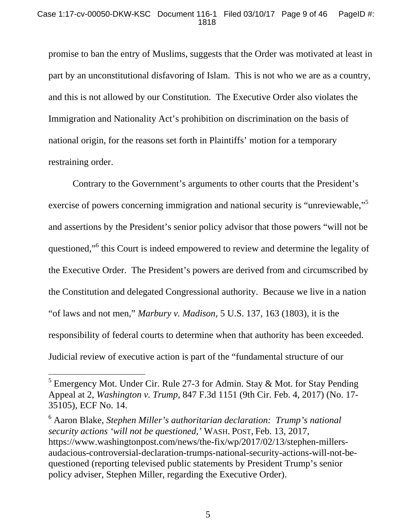promise to ban the entry of Muslims, suggests that the Order was motivated at least in part by an unconstitutional disfavoring of Islam. This is not who we are as a country, and this is not allowed by our Constitution. The Executive Order also violates the Immigration and Nationality Act's prohibition on discrimination on the basis of national origin, for the reasons set forth in Plaintiffs' motion for a temporary restraining order.

Contrary to the Government's arguments to other courts that the President's exercise of powers concerning immigration and national security is "unreviewable,"<sup>5</sup> and assertions by the President's senior policy advisor that those powers "will not be questioned,"<sup>6</sup> this Court is indeed empowered to review and determine the legality of the Executive Order. The President's powers are derived from and circumscribed by the Constitution and delegated Congressional authority. Because we live in a nation "of laws and not men," *Marbury v. Madison*, 5 U.S. 137, 163 (1803), it is the responsibility of federal courts to determine when that authority has been exceeded. Judicial review of executive action is part of the "fundamental structure of our

<sup>&</sup>lt;sup>5</sup> Emergency Mot. Under Cir. Rule 27-3 for Admin. Stay & Mot. for Stay Pending Appeal at 2, *Washington v. Trump*, 847 F.3d 1151 (9th Cir. Feb. 4, 2017) (No. 17- 35105), ECF No. 14.

<sup>&</sup>lt;sup>6</sup> Aaron Blake, *Stephen Miller's authoritarian declaration: Trump's national security actions 'will not be questioned,'* WASH. POST, Feb. 13, 2017, https://www.washingtonpost.com/news/the-fix/wp/2017/02/13/stephen-millersaudacious-controversial-declaration-trumps-national-security-actions-will-not-bequestioned (reporting televised public statements by President Trump's senior policy adviser, Stephen Miller, regarding the Executive Order).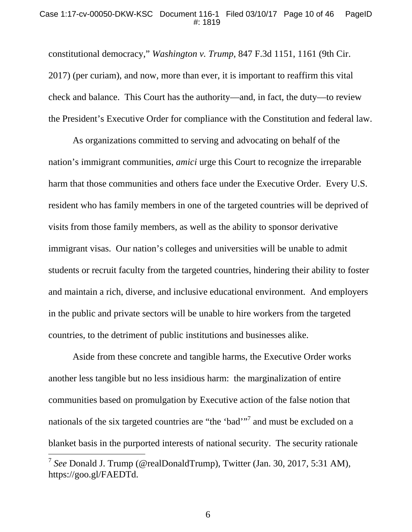#### Case 1:17-cv-00050-DKW-KSC Document 116-1 Filed 03/10/17 Page 10 of 46 PageID #: 1819

constitutional democracy," *Washington v. Trump*, 847 F.3d 1151, 1161 (9th Cir. 2017) (per curiam), and now, more than ever, it is important to reaffirm this vital check and balance. This Court has the authority—and, in fact, the duty—to review the President's Executive Order for compliance with the Constitution and federal law.

As organizations committed to serving and advocating on behalf of the nation's immigrant communities, *amici* urge this Court to recognize the irreparable harm that those communities and others face under the Executive Order. Every U.S. resident who has family members in one of the targeted countries will be deprived of visits from those family members, as well as the ability to sponsor derivative immigrant visas. Our nation's colleges and universities will be unable to admit students or recruit faculty from the targeted countries, hindering their ability to foster and maintain a rich, diverse, and inclusive educational environment. And employers in the public and private sectors will be unable to hire workers from the targeted countries, to the detriment of public institutions and businesses alike.

Aside from these concrete and tangible harms, the Executive Order works another less tangible but no less insidious harm: the marginalization of entire communities based on promulgation by Executive action of the false notion that nationals of the six targeted countries are "the 'bad'"<sup>7</sup> and must be excluded on a blanket basis in the purported interests of national security. The security rationale  $\overline{a}$ <sup>7</sup> *See* Donald J. Trump (@realDonaldTrump), Twitter (Jan. 30, 2017, 5:31 AM),

https://goo.gl/FAEDTd.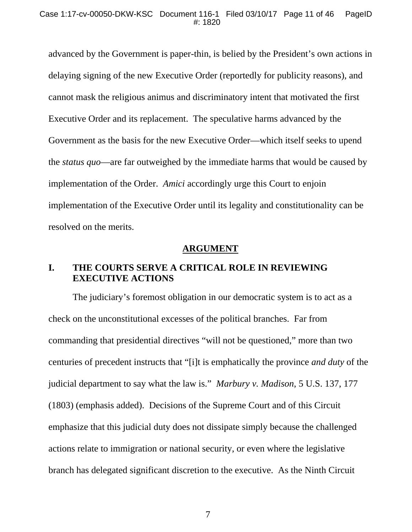advanced by the Government is paper-thin, is belied by the President's own actions in delaying signing of the new Executive Order (reportedly for publicity reasons), and cannot mask the religious animus and discriminatory intent that motivated the first Executive Order and its replacement. The speculative harms advanced by the Government as the basis for the new Executive Order—which itself seeks to upend the *status quo*—are far outweighed by the immediate harms that would be caused by implementation of the Order. *Amici* accordingly urge this Court to enjoin implementation of the Executive Order until its legality and constitutionality can be resolved on the merits.

#### **ARGUMENT**

## **I. THE COURTS SERVE A CRITICAL ROLE IN REVIEWING EXECUTIVE ACTIONS**

The judiciary's foremost obligation in our democratic system is to act as a check on the unconstitutional excesses of the political branches. Far from commanding that presidential directives "will not be questioned," more than two centuries of precedent instructs that "[i]t is emphatically the province *and duty* of the judicial department to say what the law is." *Marbury v. Madison*, 5 U.S. 137, 177 (1803) (emphasis added). Decisions of the Supreme Court and of this Circuit emphasize that this judicial duty does not dissipate simply because the challenged actions relate to immigration or national security, or even where the legislative branch has delegated significant discretion to the executive. As the Ninth Circuit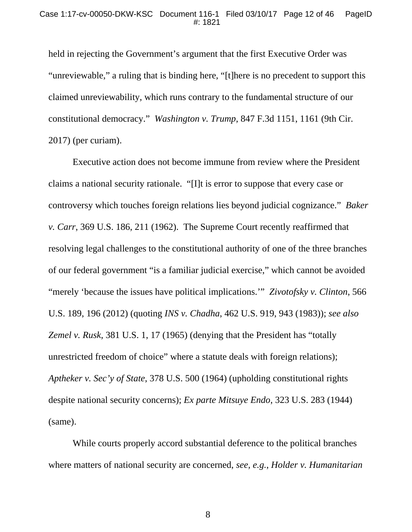held in rejecting the Government's argument that the first Executive Order was "unreviewable," a ruling that is binding here, "[t]here is no precedent to support this claimed unreviewability, which runs contrary to the fundamental structure of our constitutional democracy." *Washington v. Trump*, 847 F.3d 1151, 1161 (9th Cir. 2017) (per curiam).

Executive action does not become immune from review where the President claims a national security rationale. "[I]t is error to suppose that every case or controversy which touches foreign relations lies beyond judicial cognizance." *Baker v. Carr*, 369 U.S. 186, 211 (1962). The Supreme Court recently reaffirmed that resolving legal challenges to the constitutional authority of one of the three branches of our federal government "is a familiar judicial exercise," which cannot be avoided "merely 'because the issues have political implications.'" *Zivotofsky v. Clinton*, 566 U.S. 189, 196 (2012) (quoting *INS v. Chadha*, 462 U.S. 919, 943 (1983)); *see also Zemel v. Rusk*, 381 U.S. 1, 17 (1965) (denying that the President has "totally unrestricted freedom of choice" where a statute deals with foreign relations); *Aptheker v. Sec'y of State*, 378 U.S. 500 (1964) (upholding constitutional rights despite national security concerns); *Ex parte Mitsuye Endo*, 323 U.S. 283 (1944) (same).

While courts properly accord substantial deference to the political branches where matters of national security are concerned, *see, e.g.*, *Holder v. Humanitarian*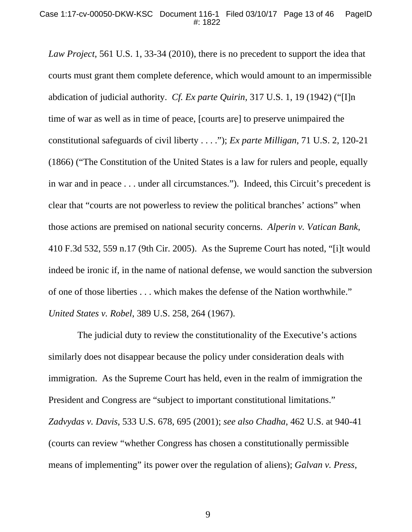*Law Project*, 561 U.S. 1, 33-34 (2010), there is no precedent to support the idea that courts must grant them complete deference, which would amount to an impermissible abdication of judicial authority. *Cf. Ex parte Quirin*, 317 U.S. 1, 19 (1942) ("[I]n time of war as well as in time of peace, [courts are] to preserve unimpaired the constitutional safeguards of civil liberty . . . ."); *Ex parte Milligan*, 71 U.S. 2, 120-21 (1866) ("The Constitution of the United States is a law for rulers and people, equally in war and in peace . . . under all circumstances."). Indeed, this Circuit's precedent is clear that "courts are not powerless to review the political branches' actions" when those actions are premised on national security concerns. *Alperin v. Vatican Bank*, 410 F.3d 532, 559 n.17 (9th Cir. 2005). As the Supreme Court has noted, "[i]t would indeed be ironic if, in the name of national defense, we would sanction the subversion of one of those liberties . . . which makes the defense of the Nation worthwhile." *United States v. Robel*, 389 U.S. 258, 264 (1967).

 The judicial duty to review the constitutionality of the Executive's actions similarly does not disappear because the policy under consideration deals with immigration. As the Supreme Court has held, even in the realm of immigration the President and Congress are "subject to important constitutional limitations." *Zadvydas v. Davis*, 533 U.S. 678, 695 (2001); *see also Chadha*, 462 U.S. at 940-41 (courts can review "whether Congress has chosen a constitutionally permissible means of implementing" its power over the regulation of aliens); *Galvan v. Press*,

9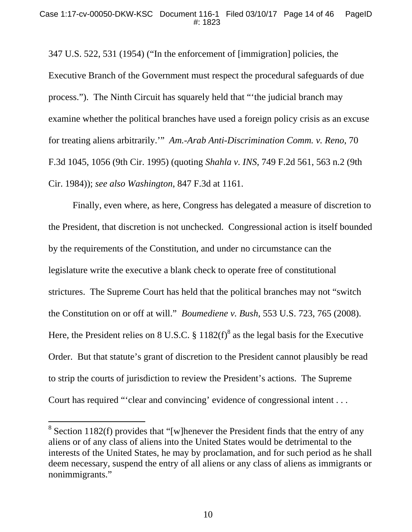347 U.S. 522, 531 (1954) ("In the enforcement of [immigration] policies, the Executive Branch of the Government must respect the procedural safeguards of due process."). The Ninth Circuit has squarely held that "'the judicial branch may examine whether the political branches have used a foreign policy crisis as an excuse for treating aliens arbitrarily.'" *Am.-Arab Anti-Discrimination Comm. v. Reno*, 70 F.3d 1045, 1056 (9th Cir. 1995) (quoting *Shahla v. INS*, 749 F.2d 561, 563 n.2 (9th Cir. 1984)); *see also Washington*, 847 F.3d at 1161.

Finally, even where, as here, Congress has delegated a measure of discretion to the President, that discretion is not unchecked. Congressional action is itself bounded by the requirements of the Constitution, and under no circumstance can the legislature write the executive a blank check to operate free of constitutional strictures. The Supreme Court has held that the political branches may not "switch the Constitution on or off at will." *Boumediene v. Bush*, 553 U.S. 723, 765 (2008). Here, the President relies on 8 U.S.C.  $\S 1182(f)^8$  as the legal basis for the Executive Order. But that statute's grant of discretion to the President cannot plausibly be read to strip the courts of jurisdiction to review the President's actions. The Supreme Court has required "'clear and convincing' evidence of congressional intent . . .

 $\overline{a}$ 

<sup>&</sup>lt;sup>8</sup> Section 1182(f) provides that "[w]henever the President finds that the entry of any aliens or of any class of aliens into the United States would be detrimental to the interests of the United States, he may by proclamation, and for such period as he shall deem necessary, suspend the entry of all aliens or any class of aliens as immigrants or nonimmigrants."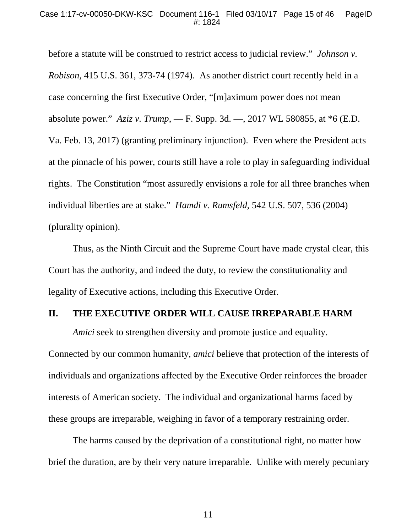before a statute will be construed to restrict access to judicial review." *Johnson v. Robison*, 415 U.S. 361, 373-74 (1974). As another district court recently held in a case concerning the first Executive Order, "[m]aximum power does not mean absolute power." *Aziz v. Trump*, — F. Supp. 3d. —, 2017 WL 580855, at \*6 (E.D. Va. Feb. 13, 2017) (granting preliminary injunction). Even where the President acts at the pinnacle of his power, courts still have a role to play in safeguarding individual rights. The Constitution "most assuredly envisions a role for all three branches when individual liberties are at stake." *Hamdi v. Rumsfeld*, 542 U.S. 507, 536 (2004) (plurality opinion).

Thus, as the Ninth Circuit and the Supreme Court have made crystal clear, this Court has the authority, and indeed the duty, to review the constitutionality and legality of Executive actions, including this Executive Order.

### **II. THE EXECUTIVE ORDER WILL CAUSE IRREPARABLE HARM**

*Amici* seek to strengthen diversity and promote justice and equality. Connected by our common humanity, *amici* believe that protection of the interests of individuals and organizations affected by the Executive Order reinforces the broader interests of American society. The individual and organizational harms faced by these groups are irreparable, weighing in favor of a temporary restraining order.

The harms caused by the deprivation of a constitutional right, no matter how brief the duration, are by their very nature irreparable. Unlike with merely pecuniary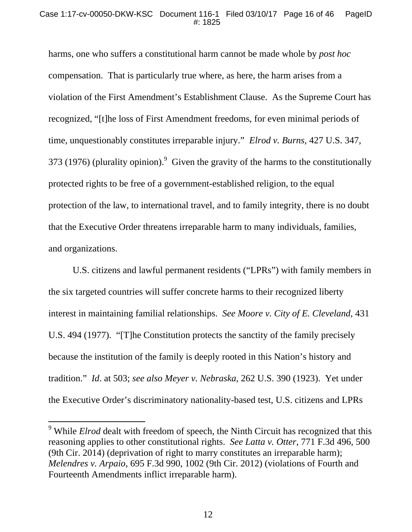harms, one who suffers a constitutional harm cannot be made whole by *post hoc* compensation. That is particularly true where, as here, the harm arises from a violation of the First Amendment's Establishment Clause. As the Supreme Court has recognized, "[t]he loss of First Amendment freedoms, for even minimal periods of time, unquestionably constitutes irreparable injury." *Elrod v. Burns*, 427 U.S. 347, 373 (1976) (plurality opinion). Given the gravity of the harms to the constitutionally protected rights to be free of a government-established religion, to the equal protection of the law, to international travel, and to family integrity, there is no doubt that the Executive Order threatens irreparable harm to many individuals, families, and organizations.

U.S. citizens and lawful permanent residents ("LPRs") with family members in the six targeted countries will suffer concrete harms to their recognized liberty interest in maintaining familial relationships. *See Moore v. City of E. Cleveland*, 431 U.S. 494 (1977). "[T]he Constitution protects the sanctity of the family precisely because the institution of the family is deeply rooted in this Nation's history and tradition." *Id*. at 503; *see also Meyer v. Nebraska*, 262 U.S. 390 (1923). Yet under the Executive Order's discriminatory nationality-based test, U.S. citizens and LPRs

 9 While *Elrod* dealt with freedom of speech, the Ninth Circuit has recognized that this reasoning applies to other constitutional rights. *See Latta v. Otter*, 771 F.3d 496, 500 (9th Cir. 2014) (deprivation of right to marry constitutes an irreparable harm); *Melendres v. Arpaio*, 695 F.3d 990, 1002 (9th Cir. 2012) (violations of Fourth and Fourteenth Amendments inflict irreparable harm).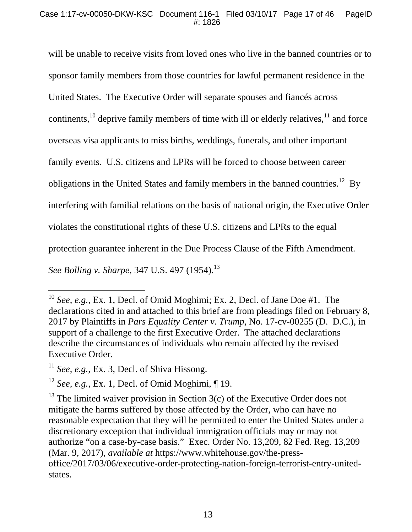will be unable to receive visits from loved ones who live in the banned countries or to sponsor family members from those countries for lawful permanent residence in the United States. The Executive Order will separate spouses and fiancés across continents,  $^{10}$  deprive family members of time with ill or elderly relatives,  $^{11}$  and force overseas visa applicants to miss births, weddings, funerals, and other important family events. U.S. citizens and LPRs will be forced to choose between career obligations in the United States and family members in the banned countries.<sup>12</sup> By interfering with familial relations on the basis of national origin, the Executive Order violates the constitutional rights of these U.S. citizens and LPRs to the equal protection guarantee inherent in the Due Process Clause of the Fifth Amendment. *See Bolling v. Sharpe, 347 U.S. 497 (1954).*<sup>13</sup>

-

<sup>10</sup> *See, e.g.*, Ex. 1, Decl. of Omid Moghimi; Ex. 2, Decl. of Jane Doe #1. The declarations cited in and attached to this brief are from pleadings filed on February 8, 2017 by Plaintiffs in *Pars Equality Center v. Trump*, No. 17-cv-00255 (D. D.C.), in support of a challenge to the first Executive Order. The attached declarations describe the circumstances of individuals who remain affected by the revised Executive Order.

<sup>&</sup>lt;sup>11</sup> See, e.g., Ex. 3, Decl. of Shiva Hissong.

<sup>12</sup> *See, e.g.*, Ex. 1, Decl. of Omid Moghimi, ¶ 19.

 $13$  The limited waiver provision in Section 3(c) of the Executive Order does not mitigate the harms suffered by those affected by the Order, who can have no reasonable expectation that they will be permitted to enter the United States under a discretionary exception that individual immigration officials may or may not authorize "on a case-by-case basis." Exec. Order No. 13,209, 82 Fed. Reg. 13,209 (Mar. 9, 2017), *available at* https://www.whitehouse.gov/the-pressoffice/2017/03/06/executive-order-protecting-nation-foreign-terrorist-entry-unitedstates.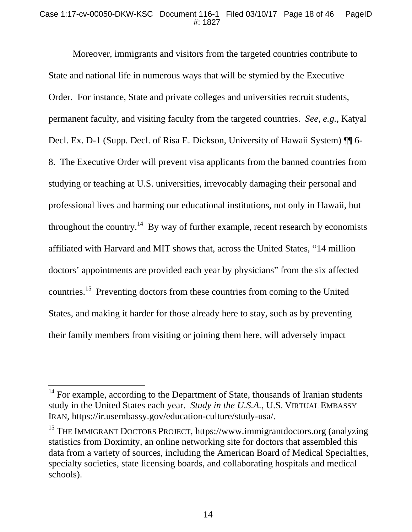#### Case 1:17-cv-00050-DKW-KSC Document 116-1 Filed 03/10/17 Page 18 of 46 PageID #: 1827

Moreover, immigrants and visitors from the targeted countries contribute to State and national life in numerous ways that will be stymied by the Executive Order. For instance, State and private colleges and universities recruit students, permanent faculty, and visiting faculty from the targeted countries. *See, e.g.*, Katyal Decl. Ex. D-1 (Supp. Decl. of Risa E. Dickson, University of Hawaii System) ¶¶ 6- 8. The Executive Order will prevent visa applicants from the banned countries from studying or teaching at U.S. universities, irrevocably damaging their personal and professional lives and harming our educational institutions, not only in Hawaii, but throughout the country.<sup>14</sup> By way of further example, recent research by economists affiliated with Harvard and MIT shows that, across the United States, "14 million doctors' appointments are provided each year by physicians" from the six affected countries.15 Preventing doctors from these countries from coming to the United States, and making it harder for those already here to stay, such as by preventing their family members from visiting or joining them here, will adversely impact

 $\overline{a}$ 

 $14$  For example, according to the Department of State, thousands of Iranian students study in the United States each year. *Study in the U.S.A.*, U.S. VIRTUAL EMBASSY IRAN, https://ir.usembassy.gov/education-culture/study-usa/.

<sup>&</sup>lt;sup>15</sup> THE IMMIGRANT DOCTORS PROJECT, https://www.immigrantdoctors.org (analyzing statistics from Doximity, an online networking site for doctors that assembled this data from a variety of sources, including the American Board of Medical Specialties, specialty societies, state licensing boards, and collaborating hospitals and medical schools).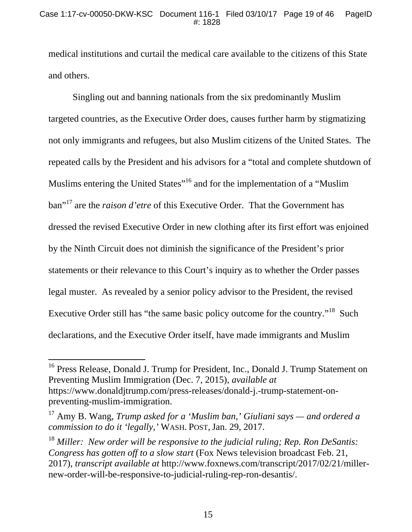medical institutions and curtail the medical care available to the citizens of this State and others.

Singling out and banning nationals from the six predominantly Muslim targeted countries, as the Executive Order does, causes further harm by stigmatizing not only immigrants and refugees, but also Muslim citizens of the United States. The repeated calls by the President and his advisors for a "total and complete shutdown of Muslims entering the United States<sup>"16</sup> and for the implementation of a "Muslim" ban"17 are the *raison d'etre* of this Executive Order. That the Government has dressed the revised Executive Order in new clothing after its first effort was enjoined by the Ninth Circuit does not diminish the significance of the President's prior statements or their relevance to this Court's inquiry as to whether the Order passes legal muster. As revealed by a senior policy advisor to the President, the revised Executive Order still has "the same basic policy outcome for the country."<sup>18</sup> Such declarations, and the Executive Order itself, have made immigrants and Muslim

 $\overline{a}$ 

<sup>&</sup>lt;sup>16</sup> Press Release, Donald J. Trump for President, Inc., Donald J. Trump Statement on Preventing Muslim Immigration (Dec. 7, 2015), *available at*  https://www.donaldjtrump.com/press-releases/donald-j.-trump-statement-onpreventing-muslim-immigration.

<sup>17</sup> Amy B. Wang, *Trump asked for a 'Muslim ban,' Giuliani says — and ordered a commission to do it 'legally,'* WASH. POST, Jan. 29, 2017.

<sup>18</sup> *Miller: New order will be responsive to the judicial ruling; Rep. Ron DeSantis: Congress has gotten off to a slow start* (Fox News television broadcast Feb. 21, 2017), *transcript available at* http://www.foxnews.com/transcript/2017/02/21/millernew-order-will-be-responsive-to-judicial-ruling-rep-ron-desantis/.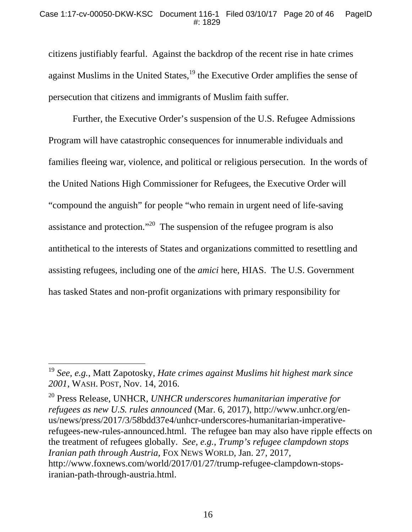citizens justifiably fearful. Against the backdrop of the recent rise in hate crimes against Muslims in the United States, $^{19}$  the Executive Order amplifies the sense of persecution that citizens and immigrants of Muslim faith suffer.

Further, the Executive Order's suspension of the U.S. Refugee Admissions Program will have catastrophic consequences for innumerable individuals and families fleeing war, violence, and political or religious persecution. In the words of the United Nations High Commissioner for Refugees, the Executive Order will "compound the anguish" for people "who remain in urgent need of life-saving assistance and protection."<sup>20</sup> The suspension of the refugee program is also antithetical to the interests of States and organizations committed to resettling and assisting refugees, including one of the *amici* here, HIAS. The U.S. Government has tasked States and non-profit organizations with primary responsibility for

-

<sup>19</sup> *See, e.g.*, Matt Zapotosky, *Hate crimes against Muslims hit highest mark since 2001*, WASH. POST, Nov. 14, 2016.

<sup>20</sup> Press Release, UNHCR, *UNHCR underscores humanitarian imperative for refugees as new U.S. rules announced* (Mar. 6, 2017), http://www.unhcr.org/enus/news/press/2017/3/58bdd37e4/unhcr-underscores-humanitarian-imperativerefugees-new-rules-announced.html. The refugee ban may also have ripple effects on the treatment of refugees globally. *See, e.g.*, *Trump's refugee clampdown stops Iranian path through Austria*, FOX NEWS WORLD, Jan. 27, 2017, http://www.foxnews.com/world/2017/01/27/trump-refugee-clampdown-stopsiranian-path-through-austria.html.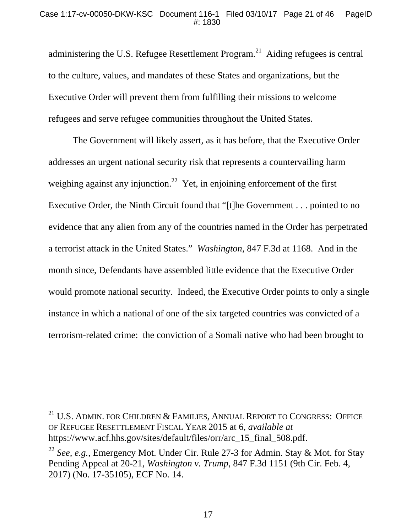administering the U.S. Refugee Resettlement Program.<sup>21</sup> Aiding refugees is central to the culture, values, and mandates of these States and organizations, but the Executive Order will prevent them from fulfilling their missions to welcome refugees and serve refugee communities throughout the United States.

The Government will likely assert, as it has before, that the Executive Order addresses an urgent national security risk that represents a countervailing harm weighing against any injunction.<sup>22</sup> Yet, in enjoining enforcement of the first Executive Order, the Ninth Circuit found that "[t]he Government . . . pointed to no evidence that any alien from any of the countries named in the Order has perpetrated a terrorist attack in the United States." *Washington*, 847 F.3d at 1168. And in the month since, Defendants have assembled little evidence that the Executive Order would promote national security. Indeed, the Executive Order points to only a single instance in which a national of one of the six targeted countries was convicted of a terrorism-related crime: the conviction of a Somali native who had been brought to

 $\overline{a}$ 

<sup>&</sup>lt;sup>21</sup> U.S. ADMIN. FOR CHILDREN  $&$  FAMILIES, ANNUAL REPORT TO CONGRESS: OFFICE OF REFUGEE RESETTLEMENT FISCAL YEAR 2015 at 6, *available at* https://www.acf.hhs.gov/sites/default/files/orr/arc\_15\_final\_508.pdf.

<sup>22</sup> *See, e.g.*, Emergency Mot. Under Cir. Rule 27-3 for Admin. Stay & Mot. for Stay Pending Appeal at 20-21, *Washington v. Trump*, 847 F.3d 1151 (9th Cir. Feb. 4, 2017) (No. 17-35105), ECF No. 14.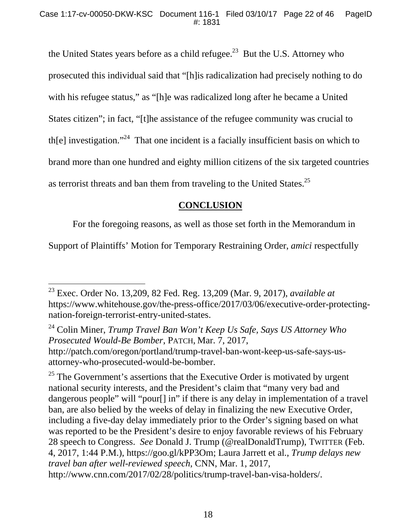the United States years before as a child refugee.<sup>23</sup> But the U.S. Attorney who prosecuted this individual said that "[h]is radicalization had precisely nothing to do with his refugee status," as "[h]e was radicalized long after he became a United States citizen"; in fact, "[t]he assistance of the refugee community was crucial to th[e] investigation."<sup>24</sup> That one incident is a facially insufficient basis on which to brand more than one hundred and eighty million citizens of the six targeted countries as terrorist threats and ban them from traveling to the United States.<sup>25</sup>

## **CONCLUSION**

For the foregoing reasons, as well as those set forth in the Memorandum in

Support of Plaintiffs' Motion for Temporary Restraining Order, *amici* respectfully

<sup>24</sup> Colin Miner, *Trump Travel Ban Won't Keep Us Safe, Says US Attorney Who Prosecuted Would-Be Bomber*, PATCH, Mar. 7, 2017, http://patch.com/oregon/portland/trump-travel-ban-wont-keep-us-safe-says-us-

attorney-who-prosecuted-would-be-bomber.

 $25$  The Government's assertions that the Executive Order is motivated by urgent national security interests, and the President's claim that "many very bad and dangerous people" will "pour[] in" if there is any delay in implementation of a travel ban, are also belied by the weeks of delay in finalizing the new Executive Order, including a five-day delay immediately prior to the Order's signing based on what was reported to be the President's desire to enjoy favorable reviews of his February 28 speech to Congress. *See* Donald J. Trump (@realDonaldTrump), TWITTER (Feb. 4, 2017, 1:44 P.M.), https://goo.gl/kPP3Om; Laura Jarrett et al., *Trump delays new travel ban after well-reviewed speech*, CNN, Mar. 1, 2017,

http://www.cnn.com/2017/02/28/politics/trump-travel-ban-visa-holders/.

<sup>23</sup> Exec. Order No. 13,209, 82 Fed. Reg. 13,209 (Mar. 9, 2017), *available at* https://www.whitehouse.gov/the-press-office/2017/03/06/executive-order-protectingnation-foreign-terrorist-entry-united-states.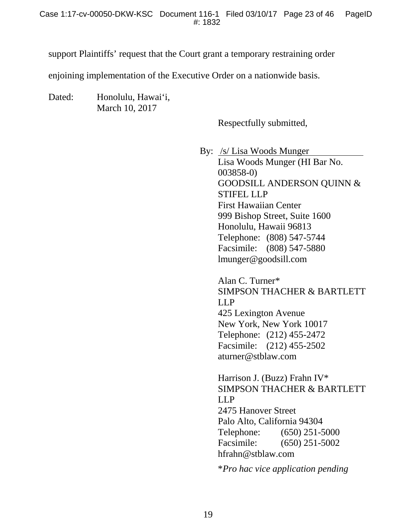support Plaintiffs' request that the Court grant a temporary restraining order

enjoining implementation of the Executive Order on a nationwide basis.

Dated: Honolulu, Hawai'i, March 10, 2017

Respectfully submitted,

By: /s/ Lisa Woods Munger Lisa Woods Munger (HI Bar No. 003858-0) GOODSILL ANDERSON QUINN & STIFEL LLP First Hawaiian Center 999 Bishop Street, Suite 1600 Honolulu, Hawaii 96813 Telephone: (808) 547-5744 Facsimile: (808) 547-5880 lmunger@goodsill.com

> Alan C. Turner\* SIMPSON THACHER & BARTLETT LLP 425 Lexington Avenue New York, New York 10017 Telephone: (212) 455-2472 Facsimile: (212) 455-2502 aturner@stblaw.com

> Harrison J. (Buzz) Frahn IV\* SIMPSON THACHER & BARTLETT LLP 2475 Hanover Street Palo Alto, California 94304 Telephone: (650) 251-5000 Facsimile: (650) 251-5002 hfrahn@stblaw.com

\**Pro hac vice application pending*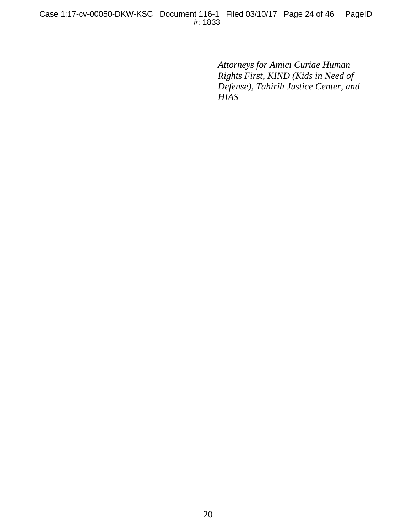*Attorneys for Amici Curiae Human Rights First, KIND (Kids in Need of Defense), Tahirih Justice Center, and HIAS*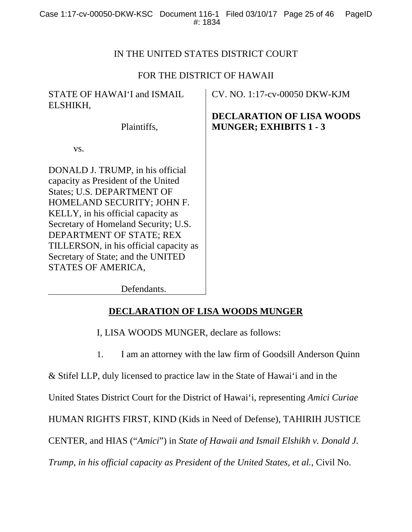## IN THE UNITED STATES DISTRICT COURT

## FOR THE DISTRICT OF HAWAII

| STATE OF HAWAI'I and ISMAIL<br>ELSHIKH,                                                                                                                                                                                                                                                                                                             | CV. NO. 1:17-cv-00050 DKW-KJM<br><b>DECLARATION OF LISA WOODS</b> |
|-----------------------------------------------------------------------------------------------------------------------------------------------------------------------------------------------------------------------------------------------------------------------------------------------------------------------------------------------------|-------------------------------------------------------------------|
| Plaintiffs,                                                                                                                                                                                                                                                                                                                                         | <b>MUNGER; EXHIBITS 1 - 3</b>                                     |
| VS.                                                                                                                                                                                                                                                                                                                                                 |                                                                   |
| DONALD J. TRUMP, in his official<br>capacity as President of the United<br>States; U.S. DEPARTMENT OF<br>HOMELAND SECURITY; JOHN F.<br>KELLY, in his official capacity as<br>Secretary of Homeland Security; U.S.<br>DEPARTMENT OF STATE; REX<br>TILLERSON, in his official capacity as<br>Secretary of State; and the UNITED<br>STATES OF AMERICA, |                                                                   |

Defendants.

## **DECLARATION OF LISA WOODS MUNGER**

I, LISA WOODS MUNGER, declare as follows:

1. I am an attorney with the law firm of Goodsill Anderson Quinn

& Stifel LLP, duly licensed to practice law in the State of Hawai'i and in the

United States District Court for the District of Hawai'i, representing *Amici Curiae*

HUMAN RIGHTS FIRST, KIND (Kids in Need of Defense), TAHIRIH JUSTICE

CENTER, and HIAS ("*Amici*") in *State of Hawaii and Ismail Elshikh v. Donald J.* 

*Trump, in his official capacity as President of the United States, et al.*, Civil No.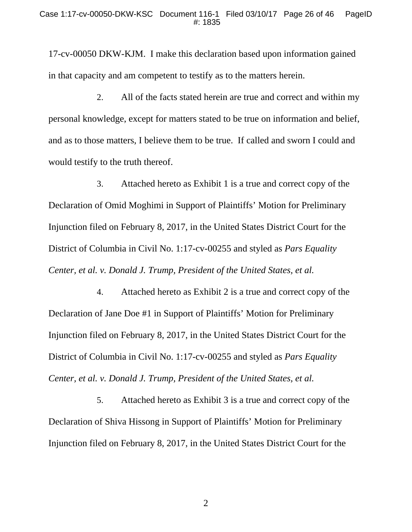17-cv-00050 DKW-KJM. I make this declaration based upon information gained in that capacity and am competent to testify as to the matters herein.

2. All of the facts stated herein are true and correct and within my personal knowledge, except for matters stated to be true on information and belief, and as to those matters, I believe them to be true. If called and sworn I could and would testify to the truth thereof.

3. Attached hereto as Exhibit 1 is a true and correct copy of the Declaration of Omid Moghimi in Support of Plaintiffs' Motion for Preliminary Injunction filed on February 8, 2017, in the United States District Court for the District of Columbia in Civil No. 1:17-cv-00255 and styled as *Pars Equality Center, et al. v. Donald J. Trump, President of the United States, et al.*

4. Attached hereto as Exhibit 2 is a true and correct copy of the Declaration of Jane Doe #1 in Support of Plaintiffs' Motion for Preliminary Injunction filed on February 8, 2017, in the United States District Court for the District of Columbia in Civil No. 1:17-cv-00255 and styled as *Pars Equality Center, et al. v. Donald J. Trump, President of the United States, et al.*

5. Attached hereto as Exhibit 3 is a true and correct copy of the Declaration of Shiva Hissong in Support of Plaintiffs' Motion for Preliminary Injunction filed on February 8, 2017, in the United States District Court for the

2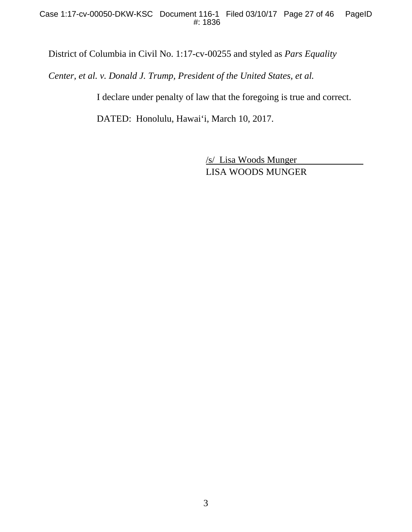District of Columbia in Civil No. 1:17-cv-00255 and styled as *Pars Equality* 

*Center, et al. v. Donald J. Trump, President of the United States, et al.* 

I declare under penalty of law that the foregoing is true and correct.

DATED: Honolulu, Hawai'i, March 10, 2017.

/s/ Lisa Woods Munger LISA WOODS MUNGER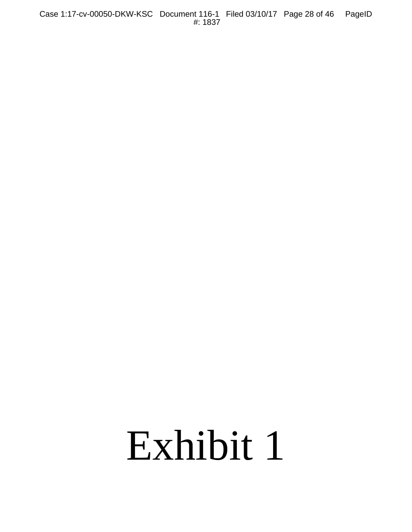Case 1:17-cv-00050-DKW-KSC Document 116-1 Filed 03/10/17 Page 28 of 46 PageID #: 1837

# Exhibit 1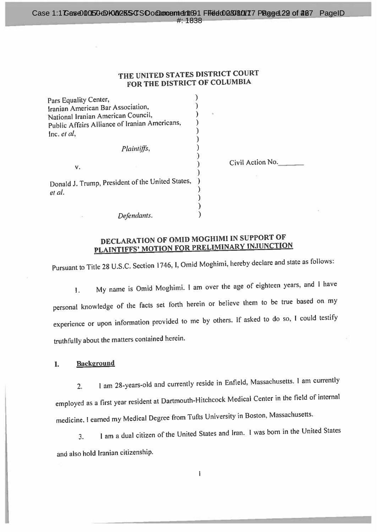#### Case 1:1 Case00050 DK00255 CSO of Duncement 401 FHedd008080017 Page 429 of 207 Page ID #1838

## THE UNITED STATES DISTRICT COURT FOR THE DISTRICT OF COLUMBIA

| Pars Equality Center,                            |                  |  |
|--------------------------------------------------|------------------|--|
| Iranian American Bar Association.                |                  |  |
| National Iranian American Council,               |                  |  |
| Public Affairs Alliance of Iranian Americans,    |                  |  |
| Inc. $et$ $al$ ,                                 |                  |  |
| Plaintiffs,                                      |                  |  |
| ٧.                                               | Civil Action No. |  |
| Donald J. Trump, President of the United States, |                  |  |
|                                                  |                  |  |
| et al.                                           |                  |  |
|                                                  |                  |  |
| Defendants.                                      |                  |  |

## DECLARATION OF OMID MOGHIMI IN SUPPORT OF PLAINTIFFS' MOTION FOR PRELIMINARY INJUNCTION

Pursuant to Title 28 U.S.C. Section 1746, I, Omid Moghimi, hereby declare and state as follows:

My name is Omid Moghimi. I am over the age of eighteen years, and I have  $\mathbf{1}$ . personal knowledge of the facts set forth herein or believe them to be true based on my experience or upon information provided to me by others. If asked to do so, I could testify truthfully about the matters contained herein.

**Background** L.

1 am 28-years-old and currently reside in Enfield, Massachusetts. 1 am currently  $2.$ employed as a first year resident at Dartmouth-Hitchcock Medical Center in the field of internal medicine. I earned my Medical Degree from Tufts University in Boston, Massachusetts.

I am a dual citizen of the United States and Iran. I was born in the United States  $\overline{3}$ . and also hold Iranian citizenship.

 $\mathbf{I}$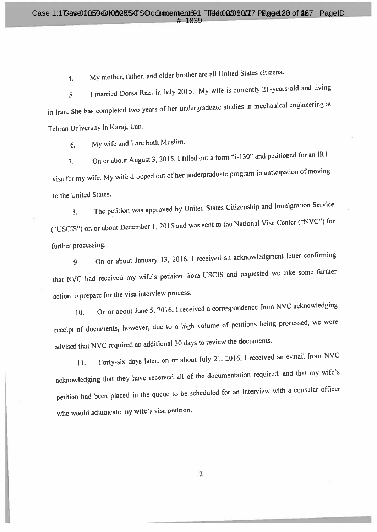My mother, father, and older brother are all United States citizens.  $\overline{4}$ .

I married Dorsa Razi in July 2015. My wife is currently 21-years-old and living  $5<sub>1</sub>$ in Iran. She has completed two years of her undergraduate studies in mechanical engineering at Tehran University in Karaj, Iran.

My wife and I are both Muslim. 6.

On or about August 3, 2015, I filled out a form "i-130" and petitioned for an IR1  $7.$ visa for my wife. My wife dropped out of her undergraduate program in anticipation of moving to the United States.

The petition was approved by United States Citizenship and Immigration Service  $\mathbf{8}$ . ("USCIS") on or about December 1, 2015 and was sent to the National Visa Center ("NVC") for further processing.

On or about January 13, 2016, I received an acknowledgment letter confirming  $9<sub>1</sub>$ that NVC had received my wife's petition from USCIS and requested we take some further action to prepare for the visa interview process.

On or about June 5, 2016, I received a correspondence from NVC acknowledging  $10.$ receipt of documents, however, due to a high volume of petitions being processed, we were advised that NVC required an additional 30 days to review the documents.

Forty-six days later, on or about July 21, 2016, I received an e-mail from NVC  $11.$ acknowledging that they have received all of the documentation required, and that my wife's petition had been placed in the queue to be scheduled for an interview with a consular officer who would adjudicate my wife's visa petition.

 $\overline{2}$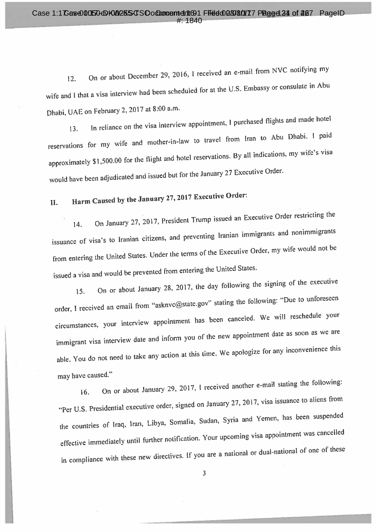On or about December 29, 2016, I received an e-mail from NVC notifying my 12. wife and I that a visa interview had been scheduled for at the U.S. Embassy or consulate in Abu Dhabi, UAE on February 2, 2017 at 8:00 a.m.

In reliance on the visa interview appointment, I purchased flights and made hotel  $13.$ reservations for my wife and mother-in-law to travel from Iran to Abu Dhabi. I paid approximately \$1,500.00 for the flight and hotel reservations. By all indications, my wife's visa would have been adjudicated and issued but for the January 27 Executive Order.

#### Harm Caused by the January 27, 2017 Executive Order: II.

On January 27, 2017, President Trump issued an Executive Order restricting the 14. issuance of visa's to Iranian citizens, and preventing Iranian immigrants and nonimmigrants from entering the United States. Under the terms of the Executive Order, my wife would not be issued a visa and would be prevented from entering the United States.

On or about January 28, 2017, the day following the signing of the executive 15. order, I received an email from "asknvc@state.gov" stating the following: "Due to unforeseen circumstances, your interview appointment has been canceled. We will reschedule your immigrant visa interview date and inform you of the new appointment date as soon as we are able. You do not need to take any action at this time. We apologize for any inconvenience this may have caused."

On or about January 29, 2017, I received another e-mail stating the following:  $16.$ "Per U.S. Presidential executive order, signed on January 27, 2017, visa issuance to aliens from the countries of Iraq, Iran, Libya, Somalia, Sudan, Syria and Yemen, has been suspended effective immediately until further notification. Your upcoming visa appointment was cancelled in compliance with these new directives. If you are a national or dual-national of one of these

 $\overline{\mathbf{3}}$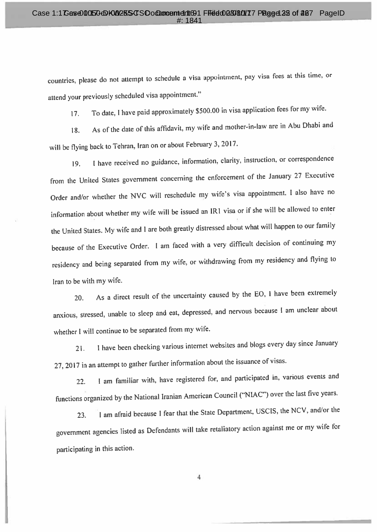countries, please do not attempt to schedule a visa appointment, pay visa fees at this time, or attend your previously scheduled visa appointment."

To date, I have paid approximately \$500.00 in visa application fees for my wife.  $17.$ 

As of the date of this affidavit, my wife and mother-in-law are in Abu Dhabi and 18. will be flying back to Tehran, Iran on or about February 3, 2017.

I have received no guidance, information, clarity, instruction, or correspondence 19. from the United States government concerning the enforcement of the January 27 Executive Order and/or whether the NVC will reschedule my wife's visa appointment. I also have no information about whether my wife will be issued an IR1 visa or if she will be allowed to enter the United States. My wife and I are both greatly distressed about what will happen to our family because of the Executive Order. I am faced with a very difficult decision of continuing my residency and being separated from my wife, or withdrawing from my residency and flying to Iran to be with my wife.

As a direct result of the uncertainty caused by the EO, I have been extremely 20. anxious, stressed, unable to sleep and eat, depressed, and nervous because I am unclear about whether I will continue to be separated from my wife.

I have been checking various internet websites and blogs every day since January  $21.$ 27, 2017 in an attempt to gather further information about the issuance of visas.

I am familiar with, have registered for, and participated in, various events and  $22.$ functions organized by the National Iranian American Council ("NIAC") over the last five years.

I am afraid because I fear that the State Department, USCIS, the NCV, and/or the 23. government agencies listed as Defendants will take retaliatory action against me or my wife for participating in this action.

 $\overline{4}$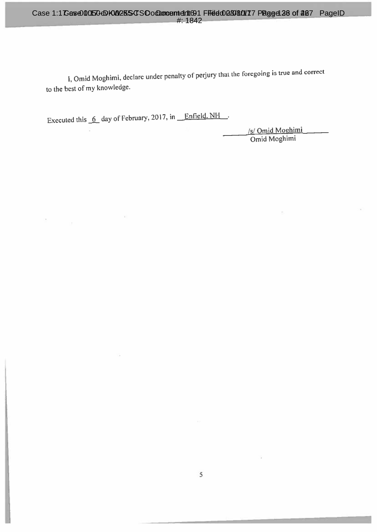I, Omid Moghimi, declare under penalty of perjury that the foregoing is true and correct to the best of my knowledge.

Executed this 6 day of February, 2017, in **Enfield. NH**.

×

/s/ Omid Moghimi<br>Omid Moghimi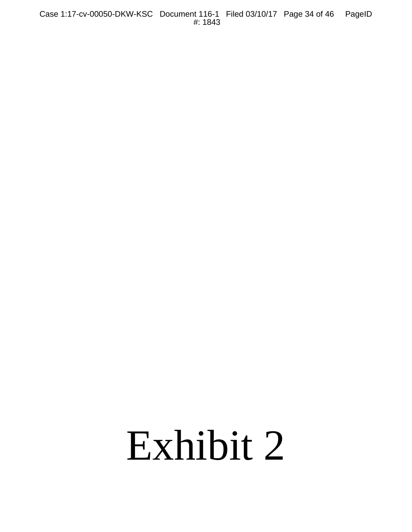Case 1:17-cv-00050-DKW-KSC Document 116-1 Filed 03/10/17 Page 34 of 46 PageID #: 1843

# Exhibit 2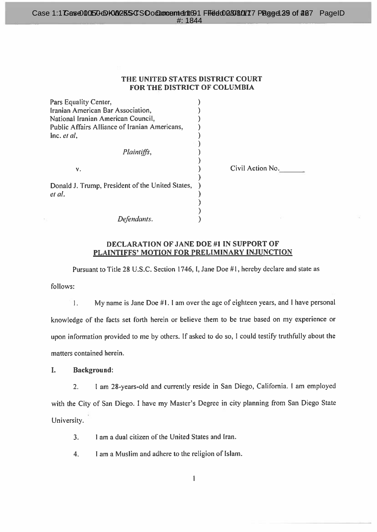#### Case 1:1 Case00050dDH00255dSOodDuncemtertic91 Ffield026080017 PResed 29 of 207 PageID  $\#$  1844

#### THE UNITED STATES DISTRICT COURT FOR THE DISTRICT OF COLUMBIA

| Pars Equality Center,                                      |                 |
|------------------------------------------------------------|-----------------|
| Iranian American Bar Association,                          |                 |
| National Iranian American Council,                         |                 |
| Public Affairs Alliance of Iranian Americans,              |                 |
| Inc. et al.                                                |                 |
|                                                            |                 |
| Plaintiffs,                                                |                 |
|                                                            |                 |
| ν.                                                         | Civil Action No |
| Donald J. Trump, President of the United States,<br>et al. |                 |
| Defendants.                                                |                 |

#### **DECLARATION OF JANE DOE #1 IN SUPPORT OF** PLAINTIFFS' MOTION FOR PRELIMINARY INJUNCTION

Pursuant to Title 28 U.S.C. Section 1746, I, Jane Doe #1, hereby declare and state as

follows:

My name is Jane Doe #1. I am over the age of eighteen years, and I have personal  $\mathbf{1}$ . knowledge of the facts set forth herein or believe them to be true based on my experience or upon information provided to me by others. If asked to do so, I could testify truthfully about the matters contained herein.

I. **Background:** 

I am 28-years-old and currently reside in San Diego, California. I am employed  $2.$ with the City of San Diego. I have my Master's Degree in city planning from San Diego State University.

I am a dual citizen of the United States and Iran.  $3.$ 

I am a Muslim and adhere to the religion of Islam.  $4.$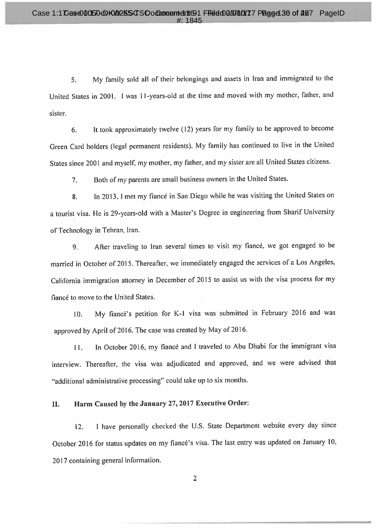My family sold all of their belongings and assets in Iran and immigrated to the  $5.$ United States in 2001. 1 was 11-years-old at the time and moved with my mother, father, and sister.

It took approximately twelve (12) years for my family to be approved to become  $6.$ Green Card holders (legal permanent residents). My family has continued to live in the United States since 2001 and myself, my mother, my father, and my sister are all United States citizens.

Both of my parents are small business owners in the United States.  $7<sub>1</sub>$ 

In 2013, I met my fiancé in San Diego while he was visiting the United States on 8. a tourist visa. He is 29-years-old with a Master's Degree in engineering from Sharif University of Technology in Tehran, Iran.

After traveling to Iran several times to visit my fiance, we got engaged to be 9. married in October of 2015. Thereafter, we immediately engaged the services of a Los Angeles, California immigration attorney in December of 2015 to assist us with the visa process for my fiance to move to the United States.

My fiancé's petition for K-1 visa was submitted in February 2016 and was 10. approved by April of 2016. The case was created by May of 2016.

In October 2016, my fiancé and I traveled to Abu Dhabi for the immigrant visa  $11.$ interview. Thereafter, the visa was adjudicated and approved, and we were advised that "additional administrative processing" could take up to six months.

#### Harm Caused by the January 27, 2017 Executive Order: II.

I have personally checked the U.S. State Department website every day since  $12.$ October 2016 for status updates on my fiancé's visa. The last entry was updated on January 10, 2017 containing general information.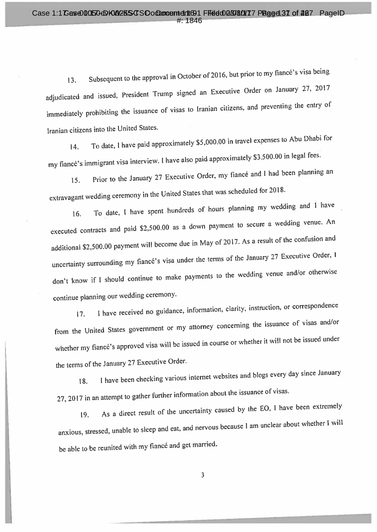Subsequent to the approval in October of 2016, but prior to my fiancé's visa being 13. adjudicated and issued, President Trump signed an Executive Order on January 27, 2017 immediately prohibiting the issuance of visas to Iranian citizens, and preventing the entry of Iranian citizens into the United States.

To date, I have paid approximately \$5,000.00 in travel expenses to Abu Dhabi for 14. my fiancé's immigrant visa interview. I have also paid approximately \$3,500.00 in legal fees.

Prior to the January 27 Executive Order, my fiance and I had been planning an 15. extravagant wedding ceremony in the United States that was scheduled for 2018.

To date, I have spent hundreds of hours planning my wedding and I have 16. executed contracts and paid \$2,500.00 as a down payment to secure a wedding venue. An additional \$2,500.00 payment will become due in May of 2017. As a result of the confusion and uncertainty surrounding my fiancé's visa under the terms of the January 27 Executive Order, I don't know if I should continue to make payments to the wedding venue and/or otherwise continue planning our wedding ceremony.

I have received no guidance, information, clarity, instruction, or correspondence  $17.$ from the United States government or my attorney concerning the issuance of visas and/or whether my fiancé's approved visa will be issued in course or whether it will not be issued under the terms of the January 27 Executive Order.

I have been checking various internet websites and blogs every day since January 18. 27, 2017 in an attempt to gather further information about the issuance of visas.

As a direct result of the uncertainty caused by the EO, I have been extremely 19. anxious, stressed, unable to sleep and eat, and nervous because I am unclear about whether I will be able to be reunited with my fiancé and get married.

 $\overline{3}$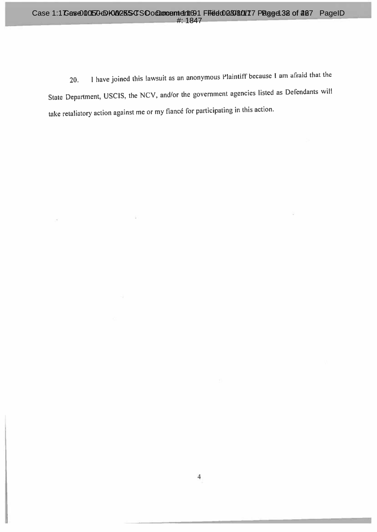I have joined this lawsuit as an anonymous Plaintiff because I am afraid that the 20. State Department, USCIS, the NCV, and/or the government agencies listed as Defendants will take retaliatory action against me or my fiancé for participating in this action.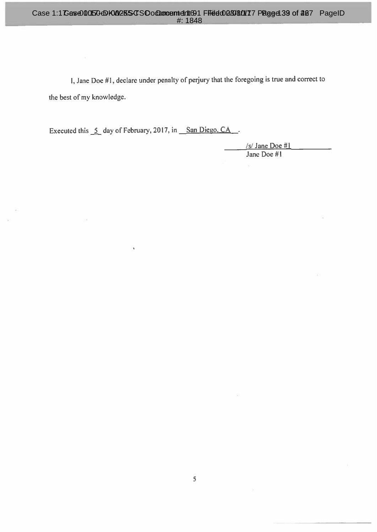I, Jane Doe #1, declare under penalty of perjury that the foregoing is true and correct to the best of my knowledge.

Executed this 5 day of February, 2017, in San Diego, CA.

 $\ddot{\phantom{1}}$ 

 $/s/$  Jane Doe #1 Jane Doe #1

×.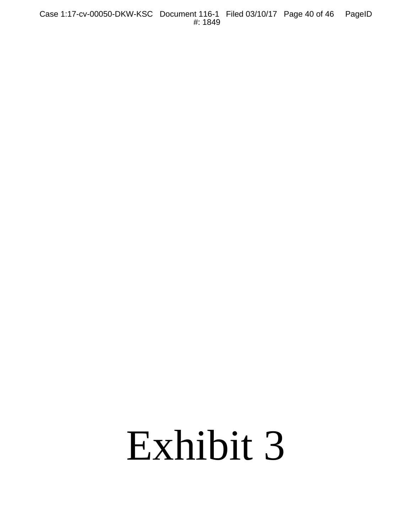Case 1:17-cv-00050-DKW-KSC Document 116-1 Filed 03/10/17 Page 40 of 46 PageID #: 1849

# Exhibit 3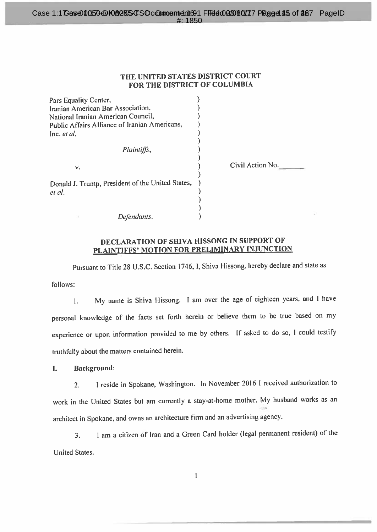#### THE UNITED STATES DISTRICT COURT FOR THE DISTRICT OF COLUMBIA

| Pars Equality Center,                                      |                  |
|------------------------------------------------------------|------------------|
| Iranian American Bar Association,                          |                  |
| National Iranian American Council,                         |                  |
| Public Affairs Alliance of Iranian Americans,              |                  |
| lnc. <i>et al</i> ,                                        |                  |
| Plaintiffs,                                                |                  |
| v.                                                         | Civil Action No. |
| Donald J. Trump, President of the United States,<br>et al. |                  |
|                                                            |                  |
|                                                            |                  |
| Defendants.                                                |                  |

#### DECLARATION OF SHIVA HISSONG IN SUPPORT OF PLAINTIFFS' MOTION FOR PRELIMINARY INJUNCTION

Pursuant to Title 28 U.S.C. Section 1746, I, Shiva Hissong, hereby declare and state as

follows:

My name is Shiva Hissong. I am over the age of eighteen years, and I have  $\mathbf{1}$ . personal knowledge of the facts set forth herein or believe them to be true based on my experience or upon information provided to me by others. If asked to do so, I could testify truthfully about the matters contained herein.

L **Background:** 

I reside in Spokane, Washington. In November 2016 I received authorization to  $2.$ work in the United States but am currently a stay-at-home mother. My husband works as an architect in Spokane, and owns an architecture firm and an advertising agency.

I am a citizen of Iran and a Green Card holder (legal permanent resident) of the  $3<sub>1</sub>$ **United States.** 

 $\mathbf{I}$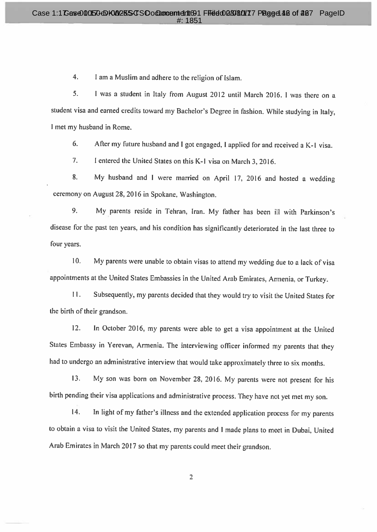$4.$ I am a Muslim and adhere to the religion of Islam.

5. I was a student in Italy from August 2012 until March 2016. I was there on a student visa and earned credits toward my Bachelor's Degree in fashion. While studying in Italy, I met my husband in Rome.

After my future husband and I got engaged, I applied for and received a K-1 visa. 6.

 $7<sub>1</sub>$ I entered the United States on this K-1 visa on March 3, 2016.

My husband and I were married on April 17, 2016 and hosted a wedding 8. ceremony on August 28, 2016 in Spokane, Washington.

9. My parents reside in Tehran, Iran. My father has been ill with Parkinson's disease for the past ten years, and his condition has significantly deteriorated in the last three to four years.

 $10.$ My parents were unable to obtain visas to attend my wedding due to a lack of visa appointments at the United States Embassies in the United Arab Emirates, Armenia, or Turkey.

 $11.$ Subsequently, my parents decided that they would try to visit the United States for the birth of their grandson.

 $12.$ In October 2016, my parents were able to get a visa appointment at the United States Embassy in Yerevan, Armenia. The interviewing officer informed my parents that they had to undergo an administrative interview that would take approximately three to six months.

 $13.$ My son was born on November 28, 2016. My parents were not present for his birth pending their visa applications and administrative process. They have not yet met my son.

14. In light of my father's illness and the extended application process for my parents to obtain a visa to visit the United States, my parents and I made plans to meet in Dubai, United Arab Emirates in March 2017 so that my parents could meet their grandson.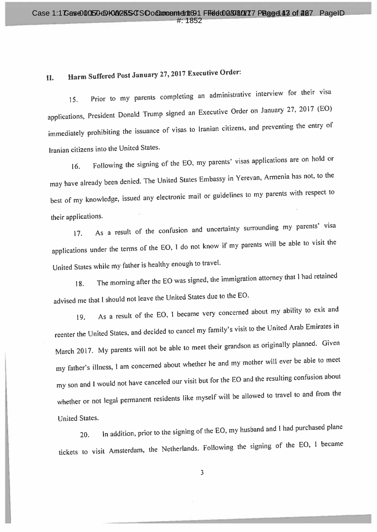#### Harm Suffered Post January 27, 2017 Executive Order: II.

Prior to my parents completing an administrative interview for their visa 15. applications, President Donald Trump signed an Executive Order on January 27, 2017 (EO) immediately prohibiting the issuance of visas to Iranian citizens, and preventing the entry of Iranian citizens into the United States.

Following the signing of the EO, my parents' visas applications are on hold or  $16.$ may have already been denied. The United States Embassy in Yerevan, Armenia has not, to the best of my knowledge, issued any electronic mail or guidelines to my parents with respect to their applications.

As a result of the confusion and uncertainty surrounding my parents' visa  $17.$ applications under the terms of the EO, I do not know if my parents will be able to visit the United States while my father is healthy enough to travel.

The morning after the EO was signed, the immigration attorney that I had retained 18. advised me that I should not leave the United States due to the EO.

As a result of the EO, I became very concerned about my ability to exit and 19. reenter the United States, and decided to cancel my family's visit to the United Arab Emirates in March 2017. My parents will not be able to meet their grandson as originally planned. Given my father's illness, I am concerned about whether he and my mother will ever be able to meet my son and I would not have canceled our visit but for the EO and the resulting confusion about whether or not legal permanent residents like myself will be allowed to travel to and from the **United States.** 

In addition, prior to the signing of the EO, my husband and I had purchased plane 20. tickets to visit Amsterdam, the Netherlands. Following the signing of the EO, I became

 $\overline{3}$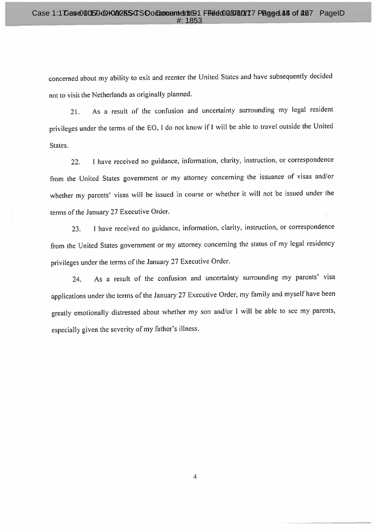concerned about my ability to exit and reenter the United States and have subsequently decided not to visit the Netherlands as originally planned.

As a result of the confusion and uncertainty surrounding my legal resident  $21.$ privileges under the terms of the EO, I do not know if I will be able to travel outside the United States.

I have received no guidance, information, clarity, instruction, or correspondence 22. from the United States government or my attorney concerning the issuance of visas and/or whether my parents' visas will be issued in course or whether it will not be issued under the terms of the January 27 Executive Order.

I have received no guidance, information, clarity, instruction, or correspondence  $23.$ from the United States government or my attorney concerning the status of my legal residency privileges under the terms of the January 27 Executive Order.

As a result of the confusion and uncertainty surrounding my parents' visa 24. applications under the terms of the January 27 Executive Order, my family and myself have been greatly emotionally distressed about whether my son and/or I will be able to see my parents, especially given the severity of my father's illness.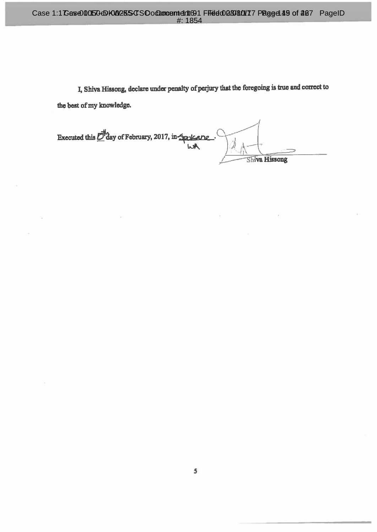I, Shiva Hissong, declare under penalty of perjury that the foregoing is true and correct to the best of my knowledge.

Executed this D day of February, 2017, in Spokare wk Shiva Hissong